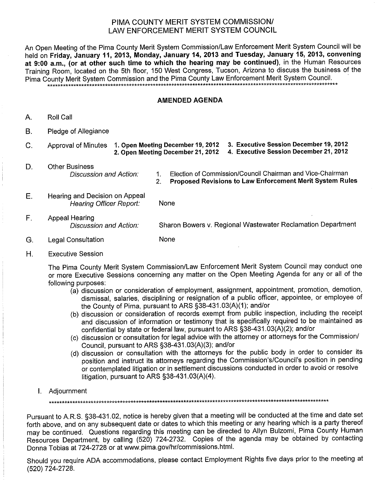## PIMA COUNTY MERIT SYSTEM COMMISSION/ LAW ENFORCEMENT MERIT SYSTEM COUNCIL

An Open Meeting of the Pima County Merit System Commission/Law Enforcement Merit System Council will be held on Friday. January 11, 2013, Monday, January 14, 2013 and Tuesday, January 15, 2013, convening at 9:00 a.m., (or at other such time to which the hearing may be continued), in the Human Resources Training Room, located on the 5th floor, 150 West Congress, Tucson, Arizona to discuss the business of the Pima County Merit System Commission and the Pima County Law Enforcement Merit System Council. <sub></sub>╸

## **AMENDED AGENDA**

- Roll Call Α.
- $B.$ Pledge of Allegiance

| U. |  | Approval of Minutes 1. Open Meeting December 19, 2012 3. Executive Session December 19, 2012 |
|----|--|----------------------------------------------------------------------------------------------|
|    |  |                                                                                              |

- D. **Other Business Discussion and Action:**
- Election of Commission/Council Chairman and Vice-Chairman  $\mathbf{1}$ . Proposed Revisions to Law Enforcement Merit System Rules  $2<sup>1</sup>$
- 
- $E.$ Hearing and Decision on Appeal **Hearing Officer Report:** None
- $F_{1}$ **Appeal Hearing** Sharon Bowers v. Regional Wastewater Reclamation Department Discussion and Action:
- None G. **Legal Consultation**
- $H_{\cdot}$ **Executive Session**

The Pima County Merit System Commission/Law Enforcement Merit System Council may conduct one or more Executive Sessions concerning any matter on the Open Meeting Agenda for any or all of the following purposes:

- (a) discussion or consideration of employment, assignment, appointment, promotion, demotion, dismissal, salaries, disciplining or resignation of a public officer, appointee, or employee of the County of Pima, pursuant to ARS §38-431.03(A)(1); and/or
- (b) discussion or consideration of records exempt from public inspection, including the receipt and discussion of information or testimony that is specifically required to be maintained as confidential by state or federal law, pursuant to ARS §38-431.03(A)(2); and/or
- (c) discussion or consultation for legal advice with the attorney or attorneys for the Commission/ Council, pursuant to ARS §38-431.03(A)(3); and/or
- (d) discussion or consultation with the attorneys for the public body in order to consider its position and instruct its attorneys regarding the Commission's/Council's position in pending or contemplated litigation or in settlement discussions conducted in order to avoid or resolve litigation, pursuant to ARS  $\S$ 38-431.03(A)(4).
- 1. Adjournment

Pursuant to A.R.S. §38-431.02, notice is hereby given that a meeting will be conducted at the time and date set forth above, and on any subsequent date or dates to which this meeting or any hearing which is a party thereof may be continued. Questions regarding this meeting can be directed to Allyn Bulzomi, Pima County Human Resources Department, by calling (520) 724-2732. Copies of the agenda may be obtained by contacting Donna Tobias at 724-2728 or at www.pima.gov/hr/commissions.html.

Should you require ADA accommodations, please contact Employment Rights five days prior to the meeting at (520) 724-2728.